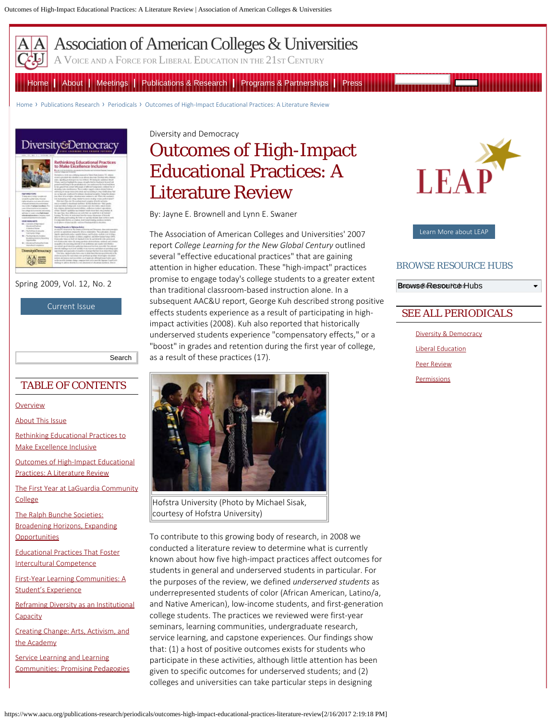<span id="page-0-0"></span>

[Association of American Colleges & Universities](https://www.aacu.org/)

A VOICE AND A FORCE FOR LIBERAL EDUCATION IN THE 21ST CENTURY

[Home](https://www.aacu.org/) | [About](https://www.aacu.org/about) | [Meetings](https://www.aacu.org/events) | [Publications & Research](https://www.aacu.org/publications) | [Programs & Partnerships](https://www.aacu.org/aacu-programs) | [Press](https://www.aacu.org/press-room)

[Home](https://www.aacu.org/) › Publications Research › Periodicals › [Outcomes of High-Impact Educational Practices: A Literature Review](#page-0-0)



Spring 2009, Vol. 12, No. 2

[Current Issue](https://www.aacu.org/diversitydemocracy/2016/fall)

Search

## TABLE OF CONTENTS

#### **[Overview](https://www.aacu.org/diversitydemocracy/2009/spring)**

[About This Issue](https://www.aacu.org/publications-research/periodicals/about-issue-1)

[Rethinking Educational Practices to](https://www.aacu.org/publications-research/periodicals/rethinking-educational-practices-make-excellence-inclusive-0) [Make Excellence Inclusive](https://www.aacu.org/publications-research/periodicals/rethinking-educational-practices-make-excellence-inclusive-0)

[Outcomes of High-Impact Educational](#page-0-0) [Practices: A Literature Review](#page-0-0)

[The First Year at LaGuardia Community](https://www.aacu.org/publications-research/periodicals/first-year-laguardia-community-college) [College](https://www.aacu.org/publications-research/periodicals/first-year-laguardia-community-college)

[The Ralph Bunche Societies:](https://www.aacu.org/publications-research/periodicals/ralph-bunche-societies-broadening-horizons-expanding-opportunities) [Broadening Horizons, Expanding](https://www.aacu.org/publications-research/periodicals/ralph-bunche-societies-broadening-horizons-expanding-opportunities) **[Opportunities](https://www.aacu.org/publications-research/periodicals/ralph-bunche-societies-broadening-horizons-expanding-opportunities)** 

[Educational Practices That Foster](https://www.aacu.org/publications-research/periodicals/educational-practices-foster-intercultural-competence) [Intercultural Competence](https://www.aacu.org/publications-research/periodicals/educational-practices-foster-intercultural-competence)

[First-Year Learning Communities: A](https://www.aacu.org/publications-research/periodicals/first-year-learning-communities-student%E2%80%99s-experience) [Student's Experience](https://www.aacu.org/publications-research/periodicals/first-year-learning-communities-student%E2%80%99s-experience)

[Reframing Diversity as an Institutional](https://www.aacu.org/publications-research/periodicals/reframing-diversity-institutional-capacity) **[Capacity](https://www.aacu.org/publications-research/periodicals/reframing-diversity-institutional-capacity)** 

[Creating Change: Arts, Activism, and](https://www.aacu.org/publications-research/periodicals/creating-change-arts-activism-and-academy) [the Academy](https://www.aacu.org/publications-research/periodicals/creating-change-arts-activism-and-academy)

[Service Learning and Learning](https://www.aacu.org/publications-research/periodicals/service-learning-and-learning-communities-promising-pedagogies) [Communities: Promising Pedagogies](https://www.aacu.org/publications-research/periodicals/service-learning-and-learning-communities-promising-pedagogies) Diversity and Democracy

# Outcomes of High-Impact Educational Practices: A Literature Review

By: Jayne E. Brownell and Lynn E. Swaner

The Association of American Colleges and Universities' 2007 report *College Learning for the New Global Century* outlined several "effective educational practices" that are gaining attention in higher education. These "high-impact" practices promise to engage today's college students to a greater extent than traditional classroom-based instruction alone. In a subsequent AAC&U report, George Kuh described strong positive effects students experience as a result of participating in highimpact activities (2008). Kuh also reported that historically underserved students experience "compensatory effects," or a "boost" in grades and retention during the first year of college, as a result of these practices (17).



Hofstra University (Photo by Michael Sisak, courtesy of Hofstra University)

To contribute to this growing body of research, in 2008 we conducted a literature review to determine what is currently known about how five high-impact practices affect outcomes for students in general and underserved students in particular. For the purposes of the review, we defined *underserved students* as underrepresented students of color (African American, Latino/a, and Native American), low-income students, and first-generation college students. The practices we reviewed were first-year seminars, learning communities, undergraduate research, service learning, and capstone experiences. Our findings show that: (1) a host of positive outcomes exists for students who participate in these activities, although little attention has been given to specific outcomes for underserved students; and (2) colleges and universities can take particular steps in designing



[Learn More about LEAP](https://www.aacu.org/leap)

#### BROWSE RESOURCE HUBS

Browse Resource Hubs Browse Resource Hubs

## SEE ALL PERIODICALS

[Diversity & Democracy](https://www.aacu.org/diversitydemocracy) [Liberal Education](https://www.aacu.org/liberaleducation) [Peer Review](https://www.aacu.org/peerreview) **[Permissions](https://www.aacu.org/publications/permissions)**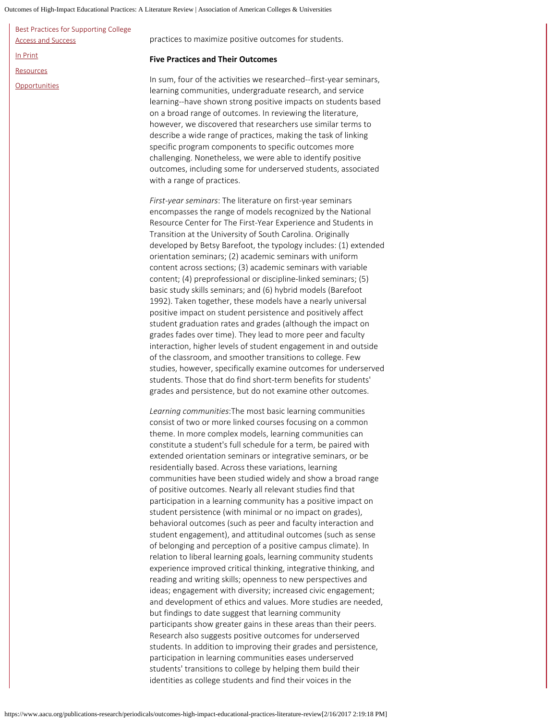Outcomes of High-Impact Educational Practices: A Literature Review | Association of American Colleges & Universities

| Best Practices for Supporting College |  |
|---------------------------------------|--|
| <b>Access and Success</b>             |  |
| In Print                              |  |
| <b>Resources</b>                      |  |
| Opportunities                         |  |

practices to maximize positive outcomes for students.

#### **Five Practices and Their Outcomes**

In sum, four of the activities we researched--first-year seminars, learning communities, undergraduate research, and service learning--have shown strong positive impacts on students based on a broad range of outcomes. In reviewing the literature, however, we discovered that researchers use similar terms to describe a wide range of practices, making the task of linking specific program components to specific outcomes more challenging. Nonetheless, we were able to identify positive outcomes, including some for underserved students, associated with a range of practices.

*First-year seminars*: The literature on first-year seminars encompasses the range of models recognized by the National Resource Center for The First-Year Experience and Students in Transition at the University of South Carolina. Originally developed by Betsy Barefoot, the typology includes: (1) extended orientation seminars; (2) academic seminars with uniform content across sections; (3) academic seminars with variable content; (4) preprofessional or discipline-linked seminars; (5) basic study skills seminars; and (6) hybrid models (Barefoot 1992). Taken together, these models have a nearly universal positive impact on student persistence and positively affect student graduation rates and grades (although the impact on grades fades over time). They lead to more peer and faculty interaction, higher levels of student engagement in and outside of the classroom, and smoother transitions to college. Few studies, however, specifically examine outcomes for underserved students. Those that do find short-term benefits for students' grades and persistence, but do not examine other outcomes.

*Learning communities*:The most basic learning communities consist of two or more linked courses focusing on a common theme. In more complex models, learning communities can constitute a student's full schedule for a term, be paired with extended orientation seminars or integrative seminars, or be residentially based. Across these variations, learning communities have been studied widely and show a broad range of positive outcomes. Nearly all relevant studies find that participation in a learning community has a positive impact on student persistence (with minimal or no impact on grades), behavioral outcomes (such as peer and faculty interaction and student engagement), and attitudinal outcomes (such as sense of belonging and perception of a positive campus climate). In relation to liberal learning goals, learning community students experience improved critical thinking, integrative thinking, and reading and writing skills; openness to new perspectives and ideas; engagement with diversity; increased civic engagement; and development of ethics and values. More studies are needed, but findings to date suggest that learning community participants show greater gains in these areas than their peers. Research also suggests positive outcomes for underserved students. In addition to improving their grades and persistence, participation in learning communities eases underserved students' transitions to college by helping them build their identities as college students and find their voices in the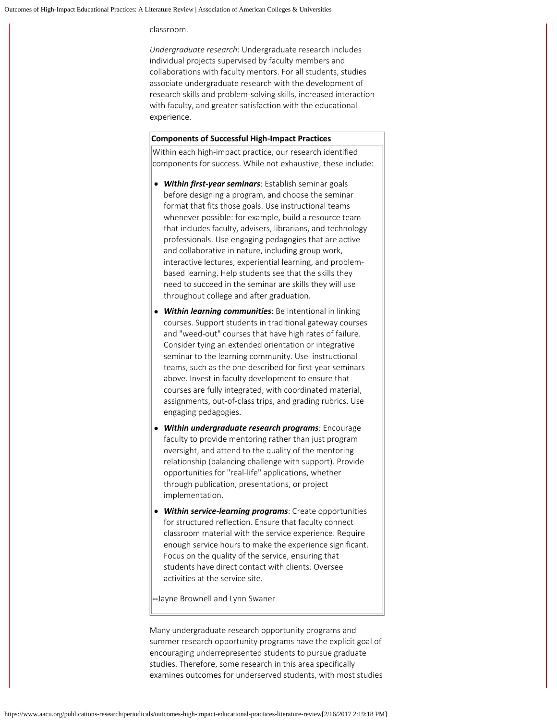classroom.

*Undergraduate research*: Undergraduate research includes individual projects supervised by faculty members and collaborations with faculty mentors. For all students, studies associate undergraduate research with the development of research skills and problem-solving skills, increased interaction with faculty, and greater satisfaction with the educational experience.

#### **Components of Successful High-Impact Practices**

Within each high-impact practice, our research identified components for success. While not exhaustive, these include:

- *Within first-year seminars*: Establish seminar goals before designing a program, and choose the seminar format that fits those goals. Use instructional teams whenever possible: for example, build a resource team that includes faculty, advisers, librarians, and technology professionals. Use engaging pedagogies that are active and collaborative in nature, including group work, interactive lectures, experiential learning, and problembased learning. Help students see that the skills they need to succeed in the seminar are skills they will use throughout college and after graduation.
- *Within learning communities*: Be intentional in linking courses. Support students in traditional gateway courses and "weed-out" courses that have high rates of failure. Consider tying an extended orientation or integrative seminar to the learning community. Use instructional teams, such as the one described for first-year seminars above. Invest in faculty development to ensure that courses are fully integrated, with coordinated material, assignments, out-of-class trips, and grading rubrics. Use engaging pedagogies.
- *Within undergraduate research programs*: Encourage faculty to provide mentoring rather than just program oversight, and attend to the quality of the mentoring relationship (balancing challenge with support). Provide opportunities for "real-life" applications, whether through publication, presentations, or project implementation.
- *Within service-learning programs*: Create opportunities for structured reflection. Ensure that faculty connect classroom material with the service experience. Require enough service hours to make the experience significant. Focus on the quality of the service, ensuring that students have direct contact with clients. Oversee activities at the service site.

**--**Jayne Brownell and Lynn Swaner

Many undergraduate research opportunity programs and summer research opportunity programs have the explicit goal of encouraging underrepresented students to pursue graduate studies. Therefore, some research in this area specifically examines outcomes for underserved students, with most studies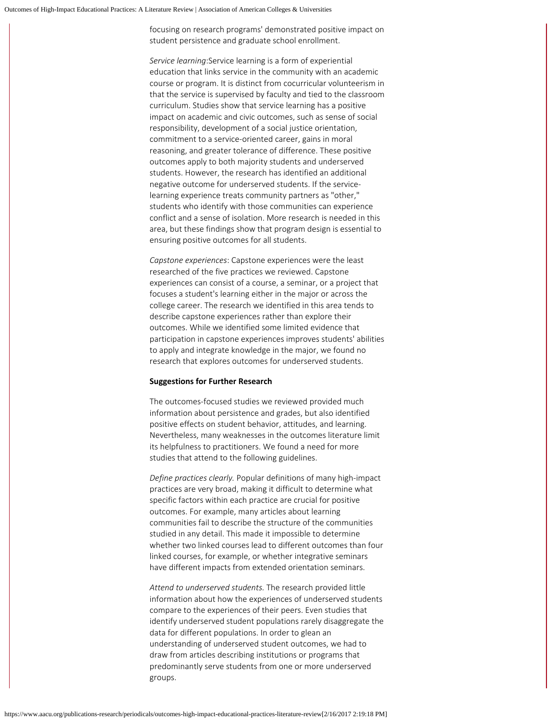focusing on research programs' demonstrated positive impact on student persistence and graduate school enrollment.

*Service learning*:Service learning is a form of experiential education that links service in the community with an academic course or program. It is distinct from cocurricular volunteerism in that the service is supervised by faculty and tied to the classroom curriculum. Studies show that service learning has a positive impact on academic and civic outcomes, such as sense of social responsibility, development of a social justice orientation, commitment to a service-oriented career, gains in moral reasoning, and greater tolerance of difference. These positive outcomes apply to both majority students and underserved students. However, the research has identified an additional negative outcome for underserved students. If the servicelearning experience treats community partners as "other," students who identify with those communities can experience conflict and a sense of isolation. More research is needed in this area, but these findings show that program design is essential to ensuring positive outcomes for all students.

*Capstone experiences*: Capstone experiences were the least researched of the five practices we reviewed. Capstone experiences can consist of a course, a seminar, or a project that focuses a student's learning either in the major or across the college career. The research we identified in this area tends to describe capstone experiences rather than explore their outcomes. While we identified some limited evidence that participation in capstone experiences improves students' abilities to apply and integrate knowledge in the major, we found no research that explores outcomes for underserved students.

#### **Suggestions for Further Research**

The outcomes-focused studies we reviewed provided much information about persistence and grades, but also identified positive effects on student behavior, attitudes, and learning. Nevertheless, many weaknesses in the outcomes literature limit its helpfulness to practitioners. We found a need for more studies that attend to the following guidelines.

*Define practices clearly.* Popular definitions of many high-impact practices are very broad, making it difficult to determine what specific factors within each practice are crucial for positive outcomes. For example, many articles about learning communities fail to describe the structure of the communities studied in any detail. This made it impossible to determine whether two linked courses lead to different outcomes than four linked courses, for example, or whether integrative seminars have different impacts from extended orientation seminars.

*Attend to underserved students.* The research provided little information about how the experiences of underserved students compare to the experiences of their peers. Even studies that identify underserved student populations rarely disaggregate the data for different populations. In order to glean an understanding of underserved student outcomes, we had to draw from articles describing institutions or programs that predominantly serve students from one or more underserved groups.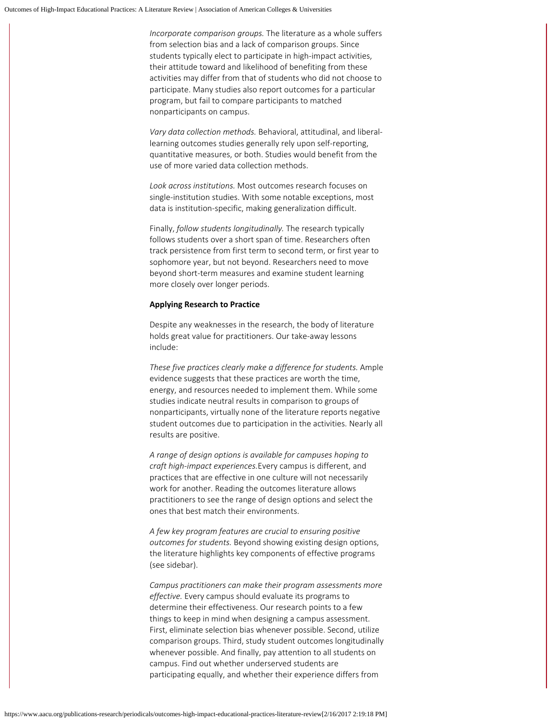*Incorporate comparison groups.* The literature as a whole suffers from selection bias and a lack of comparison groups. Since students typically elect to participate in high-impact activities, their attitude toward and likelihood of benefiting from these activities may differ from that of students who did not choose to participate. Many studies also report outcomes for a particular program, but fail to compare participants to matched nonparticipants on campus.

*Vary data collection methods.* Behavioral, attitudinal, and liberallearning outcomes studies generally rely upon self-reporting, quantitative measures, or both. Studies would benefit from the use of more varied data collection methods.

*Look across institutions.* Most outcomes research focuses on single-institution studies. With some notable exceptions, most data is institution-specific, making generalization difficult.

Finally, *follow students longitudinally.* The research typically follows students over a short span of time. Researchers often track persistence from first term to second term, or first year to sophomore year, but not beyond. Researchers need to move beyond short-term measures and examine student learning more closely over longer periods.

#### **Applying Research to Practice**

Despite any weaknesses in the research, the body of literature holds great value for practitioners. Our take-away lessons include:

*These five practices clearly make a difference for students.* Ample evidence suggests that these practices are worth the time, energy, and resources needed to implement them. While some studies indicate neutral results in comparison to groups of nonparticipants, virtually none of the literature reports negative student outcomes due to participation in the activities. Nearly all results are positive.

*A range of design options is available for campuses hoping to craft high-impact experiences.*Every campus is different, and practices that are effective in one culture will not necessarily work for another. Reading the outcomes literature allows practitioners to see the range of design options and select the ones that best match their environments.

*A few key program features are crucial to ensuring positive outcomes for students.* Beyond showing existing design options, the literature highlights key components of effective programs (see sidebar).

*Campus practitioners can make their program assessments more effective.* Every campus should evaluate its programs to determine their effectiveness. Our research points to a few things to keep in mind when designing a campus assessment. First, eliminate selection bias whenever possible. Second, utilize comparison groups. Third, study student outcomes longitudinally whenever possible. And finally, pay attention to all students on campus. Find out whether underserved students are participating equally, and whether their experience differs from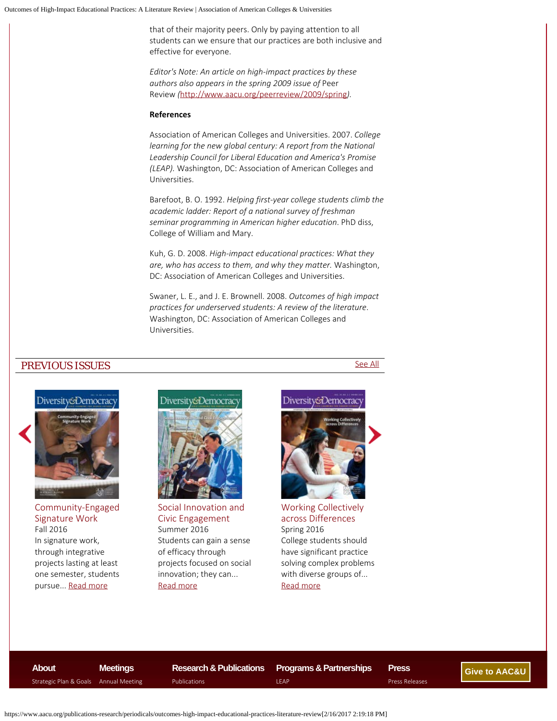that of their majority peers. Only by paying attention to all students can we ensure that our practices are both inclusive and effective for everyone.

*Editor's Note: An article on high-impact practices by these authors also appears in the spring 2009 issue of* Peer Review *(*[http://www.aacu.org/peerreview/2009/spring](https://www.aacu.org/peerreview/2009/spring)*).*

#### **References**

Association of American Colleges and Universities. 2007. *College learning for the new global century: A report from the National Leadership Council for Liberal Education and America's Promise (LEAP).* Washington, DC: Association of American Colleges and Universities.

Barefoot, B. O. 1992. *Helping first-year college students climb the academic ladder: Report of a national survey of freshman seminar programming in American higher education*. PhD diss, College of William and Mary.

Kuh, G. D. 2008. *High-impact educational practices: What they are, who has access to them, and why they matter.* Washington, DC: Association of American Colleges and Universities.

Swaner, L. E., and J. E. Brownell. 2008. *Outcomes of high impact practices for underserved students: A review of the literature*. Washington, DC: Association of American Colleges and Universities.

### PREVIOUS ISSUES [See All](https://www.aacu.org/publications-research/periodicals/Diversity%20and%20Democracy)



[Community-Engaged](https://www.aacu.org/diversitydemocracy/2016/fall) [Signature Work](https://www.aacu.org/diversitydemocracy/2016/fall) Fall 2016 In signature work, through integrative projects lasting at least one semester, students pursue... [Read more](https://www.aacu.org/diversitydemocracy/2016/fall)



[Social Innovation and](https://www.aacu.org/diversitydemocracy/2016/summer) [Civic Engagement](https://www.aacu.org/diversitydemocracy/2016/summer) Summer 2016 Students can gain a sense of efficacy through projects focused on social innovation; they can... [Read more](https://www.aacu.org/diversitydemocracy/2016/summer)

## Diversity&Democrac



[Working Collectively](https://www.aacu.org/diversitydemocracy/2016/spring) [across Differences](https://www.aacu.org/diversitydemocracy/2016/spring) Spring 2016 College students should have significant practice solving complex problems with diverse groups of... [Read more](https://www.aacu.org/diversitydemocracy/2016/spring)

**[About](https://www.aacu.org/about)**

**[Meetings](https://www.aacu.org/events)** Strategic Plan & Goals [Annual Meeting](https://www.aacu.org/annualmeeting)

**Research & Publications** [Publications](https://www.aacu.org/publications)

**Programs & Partnerships** [LEAP](https://www.aacu.org/leap)

**Press** [Press Releases](https://www.aacu.org/press-room)

**[Give to AAC&U](https://www.aacu.org/node/5822)**

https://www.aacu.org/publications-research/periodicals/outcomes-high-impact-educational-practices-literature-review[2/16/2017 2:19:18 PM]